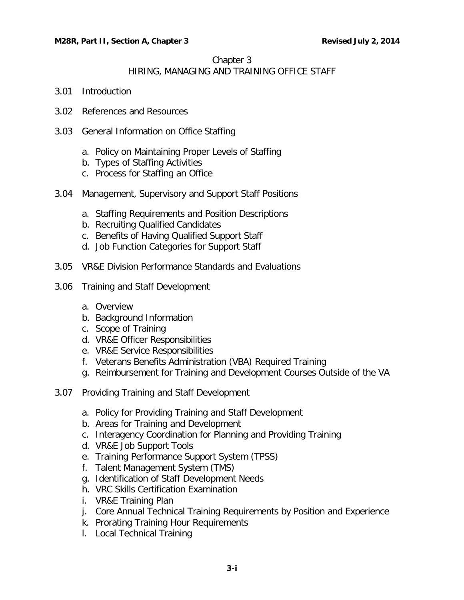#### Chapter 3

# HIRING, MANAGING AND TRAINING OFFICE STAFF

- 3.01 [Introduction](#page-2-0)
- 3.02 References [and Resources](#page-2-1)
- 3.03 [General Information on Office Staffing](#page-2-2)
	- a. [Policy on Maintaining Proper Levels of Staffing](#page-2-3)
	- b. [Types of Staffing Activities](#page-3-0)
	- c. [Process for Staffing an Office](#page-3-1)
- 3.04 [Management, Supervisory and Support Staff Positions](#page-3-2)
	- a. [Staffing Requirements and Position Descriptions](#page-3-3)
	- b. [Recruiting Qualified Candidates](#page-4-0)
	- c. [Benefits of Having Qualified Support Staff](#page-4-1)
	- d. [Job Function Categories for Support Staff](#page-4-2)
- 3.05 [VR&E Division Performance Standards and Evaluations](#page-5-0)
- 3.06 [Training and Staff Development](#page-5-1)
	- a. [Overview](#page-5-2)
	- b. [Background Information](#page-5-3)
	- c. [Scope of Training](#page-6-0)
	- d. [VR&E Officer Responsibilities](#page-6-1)
	- e. [VR&E Service Responsibilities](#page-7-0)
	- f. [Veterans Benefits Administration \(VBA\) Required Training](#page-7-1)
	- g. [Reimbursement for Training and Development Courses Outside of the VA](#page-7-2)
- 3.07 [Providing Training and Staff Development](#page-8-0)
	- a. [Policy for Providing Training and Staff Development](#page-8-1)
	- b. [Areas for Training and Development](#page-8-2)
	- c. [Interagency Coordination for Planning and Providing Training](#page-9-0)
	- d. [VR&E Job Support Tools](#page-9-1)
	- e. [Training Performance Support System \(TPSS\)](#page-12-0)
	- f. [Talent Management System \(TMS\)](#page-12-1)
	- g. [Identification of Staff Development Needs](#page-12-2)
	- h. [VRC Skills Certification Examination](#page-13-0)
	- i. [VR&E Training Plan](#page-13-1)
	- j. [Core Annual Technical Training Requirements by Position and Experience](#page-14-0)
	- k. [Prorating Training Hour Requirements](#page-15-0)
	- l. [Local Technical Training](#page-15-1)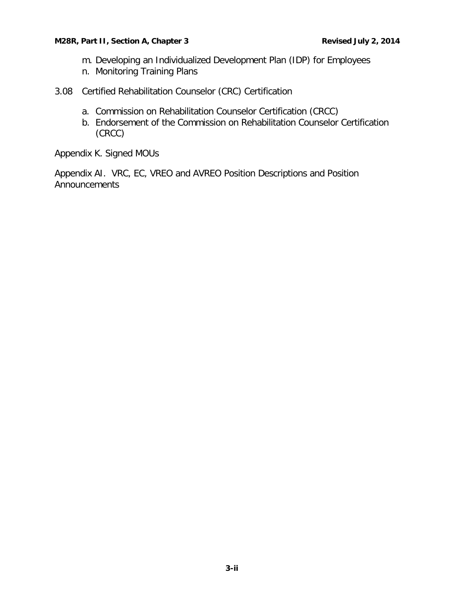- m. [Developing an Individualized Development Plan \(IDP\) for Employees](#page-15-2)
- n. [Monitoring Training Plans](#page-15-3)
- 3.08 [Certified Rehabilitation Counselor \(CRC\) Certification](#page-16-0)
	- a. [Commission on Rehabilitation Counselor Certification \(CRCC\)](#page-16-1)
	- b. [Endorsement of the Commission on Rehabilitation Counselor Certification](#page-16-2)  [\(CRCC\)](#page-16-2)

Appendix K. Signed MOUs

Appendix AI. VRC, EC, VREO and AVREO Position Descriptions and Position Announcements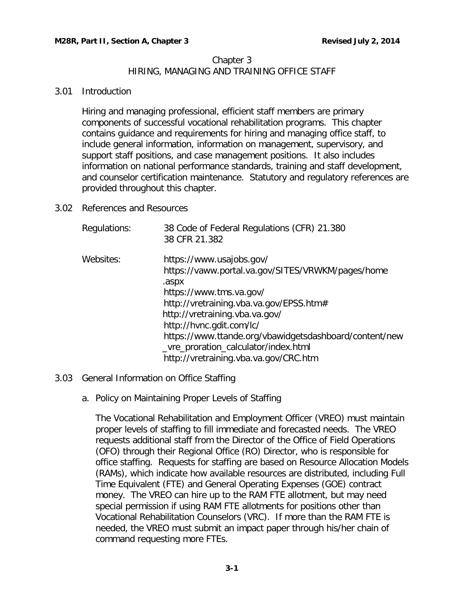# Chapter 3 HIRING, MANAGING AND TRAINING OFFICE STAFF

# <span id="page-2-0"></span>3.01 Introduction

Hiring and managing professional, efficient staff members are primary components of successful vocational rehabilitation programs. This chapter contains guidance and requirements for hiring and managing office staff, to include general information, information on management, supervisory, and support staff positions, and case management positions. It also includes information on national performance standards, training and staff development, and counselor certification maintenance. Statutory and regulatory references are provided throughout this chapter.

<span id="page-2-1"></span>3.02 References and Resources

| Regulations: | 38 Code of Federal Regulations (CFR) 21.380<br>38 CFR 21.382                                                                                                                                                                                                                                                                                                          |
|--------------|-----------------------------------------------------------------------------------------------------------------------------------------------------------------------------------------------------------------------------------------------------------------------------------------------------------------------------------------------------------------------|
| Websites:    | https://www.usajobs.gov/<br>https://vaww.portal.va.gov/SITES/VRWKM/pages/home<br>.aspx<br>https://www.tms.va.gov/<br>http://vretraining.vba.va.gov/EPSS.htm#<br>http://vretraining.vba.va.gov/<br>http://hvnc.gdit.com/lc/<br>https://www.ttande.org/vbawidgetsdashboard/content/new<br>_vre_proration_calculator/index.html<br>http://vretraining.vba.va.gov/CRC.htm |

# <span id="page-2-3"></span><span id="page-2-2"></span>3.03 General Information on Office Staffing

a. Policy on Maintaining Proper Levels of Staffing

The Vocational Rehabilitation and Employment Officer (VREO) must maintain proper levels of staffing to fill immediate and forecasted needs. The VREO requests additional staff from the Director of the Office of Field Operations (OFO) through their Regional Office (RO) Director, who is responsible for office staffing. Requests for staffing are based on Resource Allocation Models (RAMs), which indicate how available resources are distributed, including Full Time Equivalent (FTE) and General Operating Expenses (GOE) contract money. The VREO can hire up to the RAM FTE allotment, but may need special permission if using RAM FTE allotments for positions other than Vocational Rehabilitation Counselors (VRC). If more than the RAM FTE is needed, the VREO must submit an impact paper through his/her chain of command requesting more FTEs.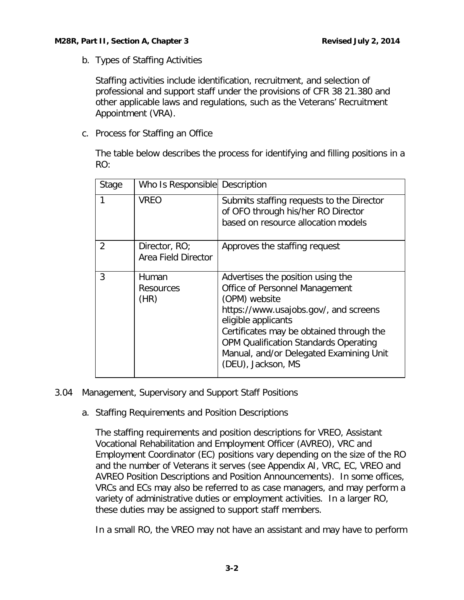<span id="page-3-0"></span>b. Types of Staffing Activities

Staffing activities include identification, recruitment, and selection of professional and support staff under the provisions of CFR 38 21.380 and other applicable laws and regulations, such as the Veterans' Recruitment Appointment (VRA).

<span id="page-3-1"></span>c. Process for Staffing an Office

The table below describes the process for identifying and filling positions in a RO:

| Stage          | Who Is Responsible Description       |                                                                                                                                                                                                                                                                                                                   |
|----------------|--------------------------------------|-------------------------------------------------------------------------------------------------------------------------------------------------------------------------------------------------------------------------------------------------------------------------------------------------------------------|
|                | <b>VREO</b>                          | Submits staffing requests to the Director<br>of OFO through his/her RO Director<br>based on resource allocation models                                                                                                                                                                                            |
| $\overline{2}$ | Director, RO;<br>Area Field Director | Approves the staffing request                                                                                                                                                                                                                                                                                     |
| 3              | Human<br><b>Resources</b><br>(HR)    | Advertises the position using the<br>Office of Personnel Management<br>(OPM) website<br>https://www.usajobs.gov/, and screens<br>eligible applicants<br>Certificates may be obtained through the<br><b>OPM Qualification Standards Operating</b><br>Manual, and/or Delegated Examining Unit<br>(DEU), Jackson, MS |

# <span id="page-3-3"></span><span id="page-3-2"></span>3.04 Management, Supervisory and Support Staff Positions

a. Staffing Requirements and Position Descriptions

The staffing requirements and position descriptions for VREO, Assistant Vocational Rehabilitation and Employment Officer (AVREO), VRC and Employment Coordinator (EC) positions vary depending on the size of the RO and the number of Veterans it serves (see Appendix AI, VRC, EC, VREO and AVREO Position Descriptions and Position Announcements). In some offices, VRCs and ECs may also be referred to as case managers, and may perform a variety of administrative duties or employment activities. In a larger RO, these duties may be assigned to support staff members.

In a small RO, the VREO may not have an assistant and may have to perform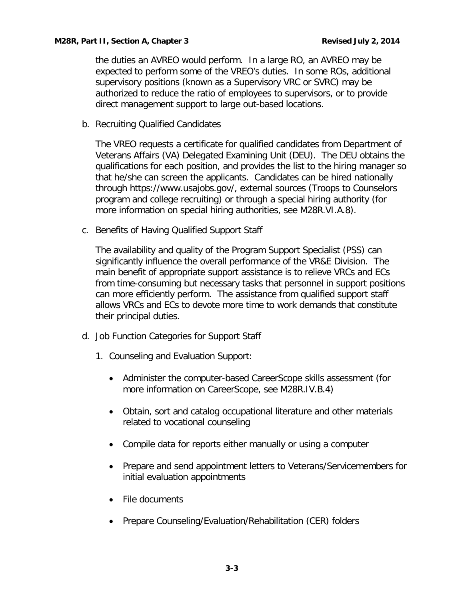the duties an AVREO would perform. In a large RO, an AVREO may be expected to perform some of the VREO's duties. In some ROs, additional supervisory positions (known as a Supervisory VRC or SVRC) may be authorized to reduce the ratio of employees to supervisors, or to provide direct management support to large out-based locations.

<span id="page-4-0"></span>b. Recruiting Qualified Candidates

The VREO requests a certificate for qualified candidates from Department of Veterans Affairs (VA) Delegated Examining Unit (DEU). The DEU obtains the qualifications for each position, and provides the list to the hiring manager so that he/she can screen the applicants. Candidates can be hired nationally through https://www.usajobs.gov/, external sources (Troops to Counselors program and college recruiting) or through a special hiring authority (for more information on special hiring authorities, see M28R.VI.A.8).

<span id="page-4-1"></span>c. Benefits of Having Qualified Support Staff

The availability and quality of the Program Support Specialist (PSS) can significantly influence the overall performance of the VR&E Division. The main benefit of appropriate support assistance is to relieve VRCs and ECs from time-consuming but necessary tasks that personnel in support positions can more efficiently perform. The assistance from qualified support staff allows VRCs and ECs to devote more time to work demands that constitute their principal duties.

- <span id="page-4-2"></span>d. Job Function Categories for Support Staff
	- 1. Counseling and Evaluation Support:
		- Administer the computer-based CareerScope skills assessment (for more information on CareerScope, see M28R.IV.B.4)
		- Obtain, sort and catalog occupational literature and other materials related to vocational counseling
		- Compile data for reports either manually or using a computer
		- Prepare and send appointment letters to Veterans/Servicemembers for initial evaluation appointments
		- File documents
		- Prepare Counseling/Evaluation/Rehabilitation (CER) folders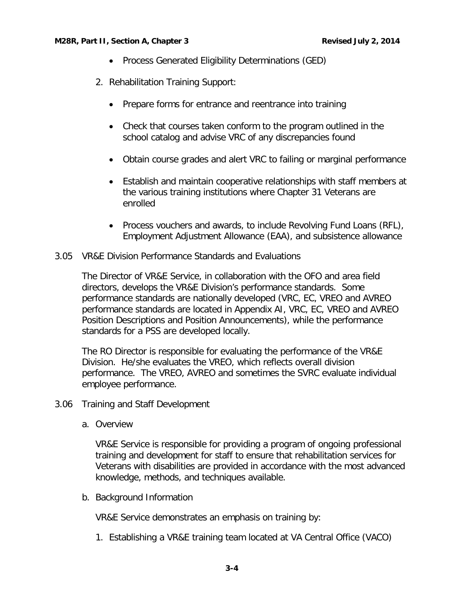- Process Generated Eligibility Determinations (GED)
- 2. Rehabilitation Training Support:
	- Prepare forms for entrance and reentrance into training
	- Check that courses taken conform to the program outlined in the school catalog and advise VRC of any discrepancies found
	- Obtain course grades and alert VRC to failing or marginal performance
	- Establish and maintain cooperative relationships with staff members at the various training institutions where Chapter 31 Veterans are enrolled
	- Process vouchers and awards, to include Revolving Fund Loans (RFL), Employment Adjustment Allowance (EAA), and subsistence allowance
- <span id="page-5-0"></span>3.05 VR&E Division Performance Standards and Evaluations

The Director of VR&E Service, in collaboration with the OFO and area field directors, develops the VR&E Division's performance standards. Some performance standards are nationally developed (VRC, EC, VREO and AVREO performance standards are located in Appendix AI, VRC, EC, VREO and AVREO Position Descriptions and Position Announcements), while the performance standards for a PSS are developed locally.

The RO Director is responsible for evaluating the performance of the VR&E Division. He/she evaluates the VREO, which reflects overall division performance. The VREO, AVREO and sometimes the SVRC evaluate individual employee performance.

- <span id="page-5-2"></span><span id="page-5-1"></span>3.06 Training and Staff Development
	- a. Overview

VR&E Service is responsible for providing a program of ongoing professional training and development for staff to ensure that rehabilitation services for Veterans with disabilities are provided in accordance with the most advanced knowledge, methods, and techniques available.

<span id="page-5-3"></span>b. Background Information

VR&E Service demonstrates an emphasis on training by:

1. Establishing a VR&E training team located at VA Central Office (VACO)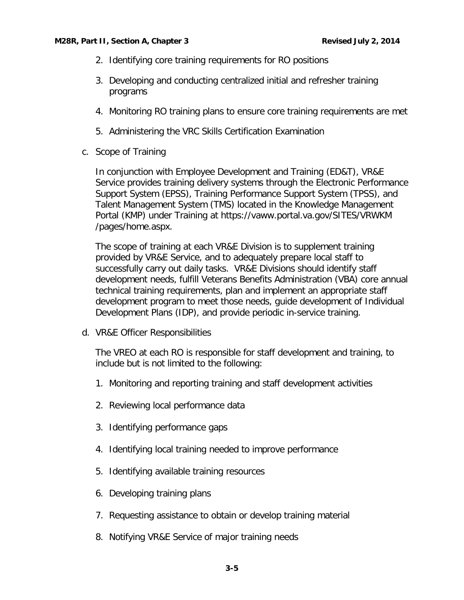- 2. Identifying core training requirements for RO positions
- 3. Developing and conducting centralized initial and refresher training programs
- 4. Monitoring RO training plans to ensure core training requirements are met
- 5. Administering the VRC Skills Certification Examination
- <span id="page-6-0"></span>c. Scope of Training

In conjunction with Employee Development and Training (ED&T), VR&E Service provides training delivery systems through the Electronic Performance Support System (EPSS), Training Performance Support System (TPSS), and Talent Management System (TMS) located in the Knowledge Management Portal (KMP) under Training at https://vaww.portal.va.gov/SITES/VRWKM /pages/home.aspx.

The scope of training at each VR&E Division is to supplement training provided by VR&E Service, and to adequately prepare local staff to successfully carry out daily tasks. VR&E Divisions should identify staff development needs, fulfill Veterans Benefits Administration (VBA) core annual technical training requirements, plan and implement an appropriate staff development program to meet those needs, guide development of Individual Development Plans (IDP), and provide periodic in-service training.

<span id="page-6-1"></span>d. VR&E Officer Responsibilities

The VREO at each RO is responsible for staff development and training, to include but is not limited to the following:

- 1. Monitoring and reporting training and staff development activities
- 2. Reviewing local performance data
- 3. Identifying performance gaps
- 4. Identifying local training needed to improve performance
- 5. Identifying available training resources
- 6. Developing training plans
- 7. Requesting assistance to obtain or develop training material
- 8. Notifying VR&E Service of major training needs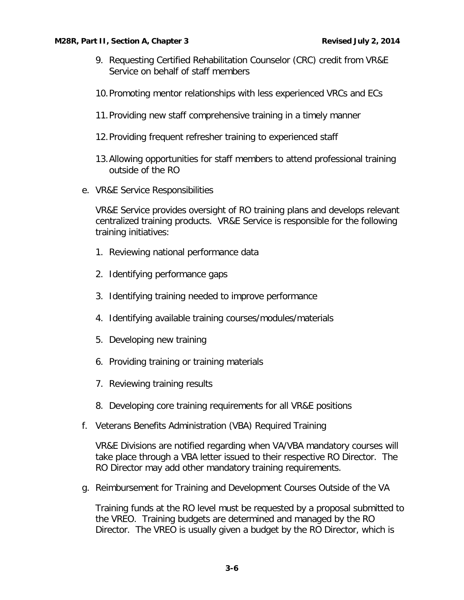- 9. Requesting Certified Rehabilitation Counselor (CRC) credit from VR&E Service on behalf of staff members
- 10.Promoting mentor relationships with less experienced VRCs and ECs
- 11.Providing new staff comprehensive training in a timely manner
- 12.Providing frequent refresher training to experienced staff
- 13.Allowing opportunities for staff members to attend professional training outside of the RO
- <span id="page-7-0"></span>e. VR&E Service Responsibilities

VR&E Service provides oversight of RO training plans and develops relevant centralized training products. VR&E Service is responsible for the following training initiatives:

- 1. Reviewing national performance data
- 2. Identifying performance gaps
- 3. Identifying training needed to improve performance
- 4. Identifying available training courses/modules/materials
- 5. Developing new training
- 6. Providing training or training materials
- 7. Reviewing training results
- 8. Developing core training requirements for all VR&E positions
- <span id="page-7-1"></span>f. Veterans Benefits Administration (VBA) Required Training

VR&E Divisions are notified regarding when VA/VBA mandatory courses will take place through a VBA letter issued to their respective RO Director. The RO Director may add other mandatory training requirements.

<span id="page-7-2"></span>g. Reimbursement for Training and Development Courses Outside of the VA

Training funds at the RO level must be requested by a proposal submitted to the VREO. Training budgets are determined and managed by the RO Director. The VREO is usually given a budget by the RO Director, which is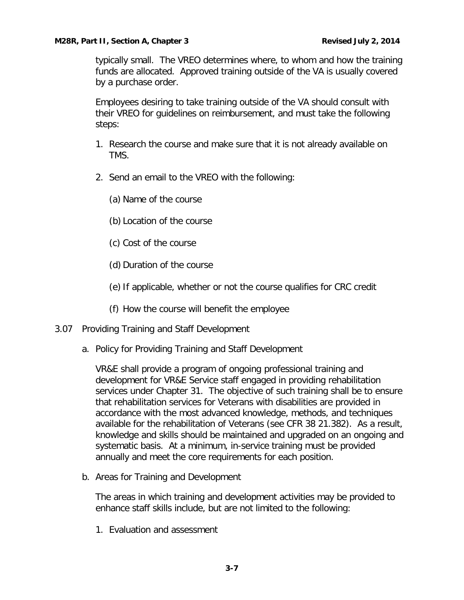typically small. The VREO determines where, to whom and how the training funds are allocated. Approved training outside of the VA is usually covered by a purchase order.

Employees desiring to take training outside of the VA should consult with their VREO for guidelines on reimbursement, and must take the following steps:

- 1. Research the course and make sure that it is not already available on TMS.
- 2. Send an email to the VREO with the following:

(a) Name of the course

- (b) Location of the course
- (c) Cost of the course
- (d) Duration of the course
- (e) If applicable, whether or not the course qualifies for CRC credit
- (f) How the course will benefit the employee
- <span id="page-8-1"></span><span id="page-8-0"></span>3.07 Providing Training and Staff Development
	- a. Policy for Providing Training and Staff Development

VR&E shall provide a program of ongoing professional training and development for VR&E Service staff engaged in providing rehabilitation services under Chapter 31. The objective of such training shall be to ensure that rehabilitation services for Veterans with disabilities are provided in accordance with the most advanced knowledge, methods, and techniques available for the rehabilitation of Veterans (see CFR 38 21.382). As a result, knowledge and skills should be maintained and upgraded on an ongoing and systematic basis. At a minimum, in-service training must be provided annually and meet the core requirements for each position.

<span id="page-8-2"></span>b. Areas for Training and Development

The areas in which training and development activities may be provided to enhance staff skills include, but are not limited to the following:

1. Evaluation and assessment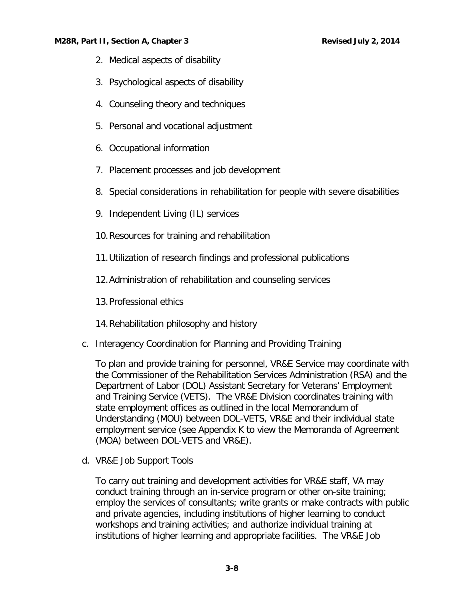- 2. Medical aspects of disability
- 3. Psychological aspects of disability
- 4. Counseling theory and techniques
- 5. Personal and vocational adjustment
- 6. Occupational information
- 7. Placement processes and job development
- 8. Special considerations in rehabilitation for people with severe disabilities
- 9. Independent Living (IL) services
- 10.Resources for training and rehabilitation
- 11.Utilization of research findings and professional publications
- 12.Administration of rehabilitation and counseling services
- 13.Professional ethics
- 14.Rehabilitation philosophy and history
- <span id="page-9-0"></span>c. Interagency Coordination for Planning and Providing Training

To plan and provide training for personnel, VR&E Service may coordinate with the Commissioner of the Rehabilitation Services Administration (RSA) and the Department of Labor (DOL) Assistant Secretary for Veterans' Employment and Training Service (VETS). The VR&E Division coordinates training with state employment offices as outlined in the local Memorandum of Understanding (MOU) between DOL-VETS, VR&E and their individual state employment service (see Appendix K to view the Memoranda of Agreement (MOA) between DOL-VETS and VR&E).

<span id="page-9-1"></span>d. VR&E Job Support Tools

To carry out training and development activities for VR&E staff, VA may conduct training through an in-service program or other on-site training; employ the services of consultants; write grants or make contracts with public and private agencies, including institutions of higher learning to conduct workshops and training activities; and authorize individual training at institutions of higher learning and appropriate facilities. The VR&E Job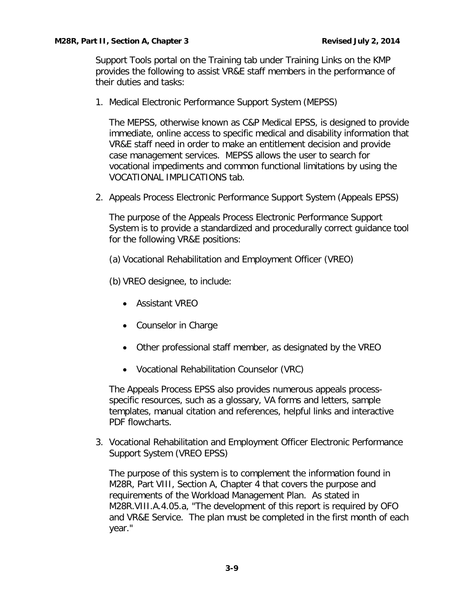Support Tools portal on the Training tab under Training Links on the KMP provides the following to assist VR&E staff members in the performance of their duties and tasks:

1. Medical Electronic Performance Support System (MEPSS)

The MEPSS, otherwise known as C&P Medical EPSS, is designed to provide immediate, online access to specific medical and disability information that VR&E staff need in order to make an entitlement decision and provide case management services. MEPSS allows the user to search for vocational impediments and common functional limitations by using the VOCATIONAL IMPLICATIONS tab.

2. Appeals Process Electronic Performance Support System (Appeals EPSS)

The purpose of the Appeals Process Electronic Performance Support System is to provide a standardized and procedurally correct guidance tool for the following VR&E positions:

(a) Vocational Rehabilitation and Employment Officer (VREO)

(b) VREO designee, to include:

- Assistant VREO
- Counselor in Charge
- Other professional staff member, as designated by the VREO
- Vocational Rehabilitation Counselor (VRC)

The Appeals Process EPSS also provides numerous appeals processspecific resources, such as a glossary, VA forms and letters, sample templates, manual citation and references, helpful links and interactive PDF flowcharts.

3. Vocational Rehabilitation and Employment Officer Electronic Performance Support System (VREO EPSS)

The purpose of this system is to complement the information found in M28R, Part VIII, Section A, Chapter 4 that covers the purpose and requirements of the Workload Management Plan. As stated in M28R.VIII.A.4.05.a, "The development of this report is required by OFO and VR&E Service. The plan must be completed in the first month of each year."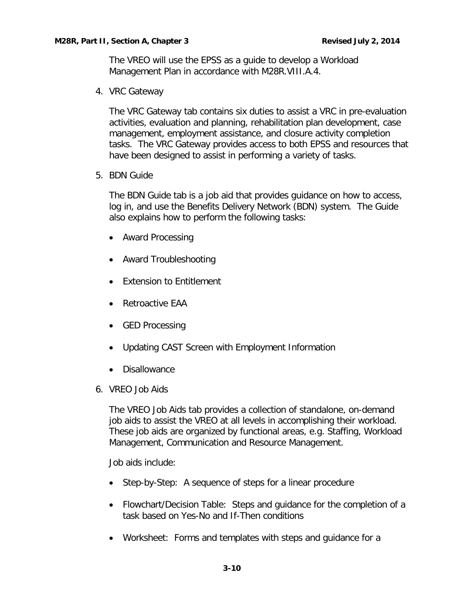The VREO will use the EPSS as a guide to develop a Workload Management Plan in accordance with M28R.VIII.A.4.

4. VRC Gateway

The VRC Gateway tab contains six duties to assist a VRC in pre-evaluation activities, evaluation and planning, rehabilitation plan development, case management, employment assistance, and closure activity completion tasks. The VRC Gateway provides access to both EPSS and resources that have been designed to assist in performing a variety of tasks.

5. BDN Guide

The BDN Guide tab is a job aid that provides guidance on how to access, log in, and use the Benefits Delivery Network (BDN) system. The Guide also explains how to perform the following tasks:

- Award Processing
- Award Troubleshooting
- Extension to Entitlement
- Retroactive EAA
- GED Processing
- Updating CAST Screen with Employment Information
- Disallowance
- 6. VREO Job Aids

The VREO Job Aids tab provides a collection of standalone, on-demand job aids to assist the VREO at all levels in accomplishing their workload. These job aids are organized by functional areas, e.g. Staffing, Workload Management, Communication and Resource Management.

Job aids include:

- Step-by-Step: A sequence of steps for a linear procedure
- Flowchart/Decision Table: Steps and guidance for the completion of a task based on Yes-No and If-Then conditions
- Worksheet: Forms and templates with steps and guidance for a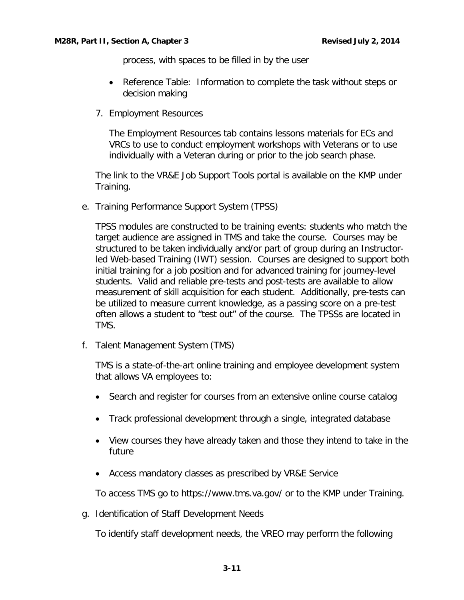process, with spaces to be filled in by the user

- Reference Table: Information to complete the task without steps or decision making
- 7. Employment Resources

The Employment Resources tab contains lessons materials for ECs and VRCs to use to conduct employment workshops with Veterans or to use individually with a Veteran during or prior to the job search phase.

The link to the VR&E Job Support Tools portal is available on the KMP under Training.

<span id="page-12-0"></span>e. Training Performance Support System (TPSS)

TPSS modules are constructed to be training events: students who match the target audience are assigned in TMS and take the course. Courses may be structured to be taken individually and/or part of group during an Instructorled Web-based Training (IWT) session. Courses are designed to support both initial training for a job position and for advanced training for journey-level students. Valid and reliable pre-tests and post-tests are available to allow measurement of skill acquisition for each student. Additionally, pre-tests can be utilized to measure current knowledge, as a passing score on a pre-test often allows a student to "test out" of the course. The TPSSs are located in TMS.

<span id="page-12-1"></span>f. Talent Management System (TMS)

TMS is a state-of-the-art online training and employee development system that allows VA employees to:

- Search and register for courses from an extensive online course catalog
- Track professional development through a single, integrated database
- View courses they have already taken and those they intend to take in the future
- Access mandatory classes as prescribed by VR&E Service

To access TMS go to https://www.tms.va.gov/ or to the KMP under Training.

<span id="page-12-2"></span>g. Identification of Staff Development Needs

To identify staff development needs, the VREO may perform the following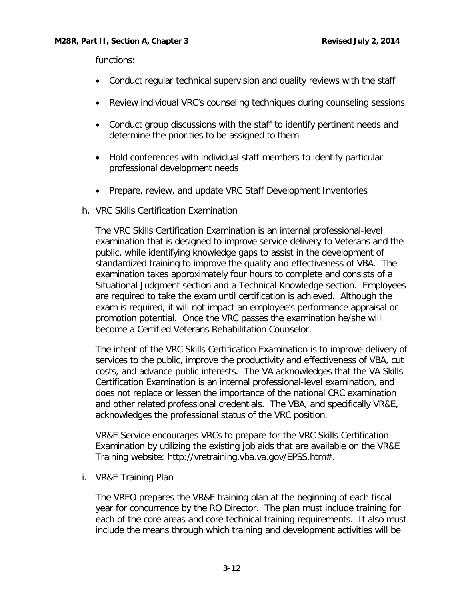functions:

- Conduct regular technical supervision and quality reviews with the staff
- Review individual VRC's counseling techniques during counseling sessions
- Conduct group discussions with the staff to identify pertinent needs and determine the priorities to be assigned to them
- Hold conferences with individual staff members to identify particular professional development needs
- Prepare, review, and update VRC Staff Development Inventories
- <span id="page-13-0"></span>h. VRC Skills Certification Examination

The VRC Skills Certification Examination is an internal professional-level examination that is designed to improve service delivery to Veterans and the public, while identifying knowledge gaps to assist in the development of standardized training to improve the quality and effectiveness of VBA. The examination takes approximately four hours to complete and consists of a Situational Judgment section and a Technical Knowledge section. Employees are required to take the exam until certification is achieved. Although the exam is required, it will not impact an employee's performance appraisal or promotion potential. Once the VRC passes the examination he/she will become a Certified Veterans Rehabilitation Counselor.

The intent of the VRC Skills Certification Examination is to improve delivery of services to the public, improve the productivity and effectiveness of VBA, cut costs, and advance public interests. The VA acknowledges that the VA Skills Certification Examination is an internal professional-level examination, and does not replace or lessen the importance of the national CRC examination and other related professional credentials. The VBA, and specifically VR&E, acknowledges the professional status of the VRC position.

VR&E Service encourages VRCs to prepare for the VRC Skills Certification Examination by utilizing the existing job aids that are available on the VR&E Training website: http://vretraining.vba.va.gov/EPSS.htm#.

<span id="page-13-1"></span>i. VR&E Training Plan

The VREO prepares the VR&E training plan at the beginning of each fiscal year for concurrence by the RO Director. The plan must include training for each of the core areas and core technical training requirements. It also must include the means through which training and development activities will be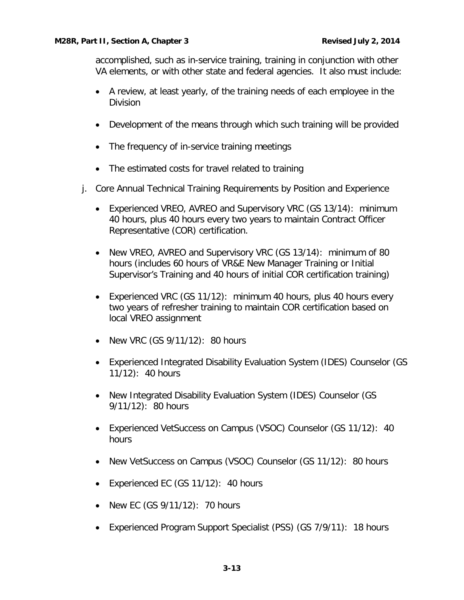accomplished, such as in-service training, training in conjunction with other VA elements, or with other state and federal agencies. It also must include:

- A review, at least yearly, of the training needs of each employee in the Division
- Development of the means through which such training will be provided
- The frequency of in-service training meetings
- The estimated costs for travel related to training
- <span id="page-14-0"></span>j. Core Annual Technical Training Requirements by Position and Experience
	- Experienced VREO, AVREO and Supervisory VRC (GS 13/14): minimum 40 hours, plus 40 hours every two years to maintain Contract Officer Representative (COR) certification.
	- New VREO, AVREO and Supervisory VRC (GS 13/14): minimum of 80 hours (includes 60 hours of VR&E New Manager Training or Initial Supervisor's Training and 40 hours of initial COR certification training)
	- Experienced VRC (GS 11/12): minimum 40 hours, plus 40 hours every two years of refresher training to maintain COR certification based on local VREO assignment
	- New VRC (GS 9/11/12): 80 hours
	- Experienced Integrated Disability Evaluation System (IDES) Counselor (GS 11/12): 40 hours
	- New Integrated Disability Evaluation System (IDES) Counselor (GS 9/11/12): 80 hours
	- Experienced VetSuccess on Campus (VSOC) Counselor (GS 11/12): 40 hours
	- New VetSuccess on Campus (VSOC) Counselor (GS 11/12): 80 hours
	- Experienced EC (GS 11/12): 40 hours
	- New EC (GS 9/11/12): 70 hours
	- Experienced Program Support Specialist (PSS) (GS 7/9/11): 18 hours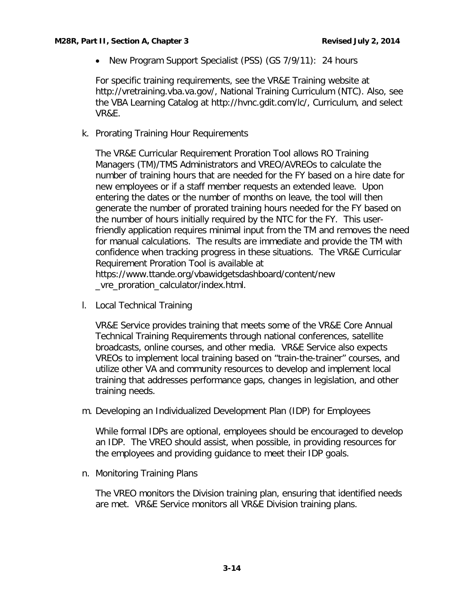• New Program Support Specialist (PSS) (GS 7/9/11): 24 hours

For specific training requirements, see the VR&E Training website at http://vretraining.vba.va.gov/, National Training Curriculum (NTC). Also, see the VBA Learning Catalog at http://hvnc.gdit.com/lc/, Curriculum, and select VR&E.

<span id="page-15-0"></span>k. Prorating Training Hour Requirements

The VR&E Curricular Requirement Proration Tool allows RO Training Managers (TM)/TMS Administrators and VREO/AVREOs to calculate the number of training hours that are needed for the FY based on a hire date for new employees or if a staff member requests an extended leave. Upon entering the dates or the number of months on leave, the tool will then generate the number of prorated training hours needed for the FY based on the number of hours initially required by the NTC for the FY. This userfriendly application requires minimal input from the TM and removes the need for manual calculations. The results are immediate and provide the TM with confidence when tracking progress in these situations. The VR&E Curricular Requirement Proration Tool is available at https://www.ttande.org/vbawidgetsdashboard/content/new \_vre\_proration\_calculator/index.html.

<span id="page-15-1"></span>l. Local Technical Training

VR&E Service provides training that meets some of the VR&E Core Annual Technical Training Requirements through national conferences, satellite broadcasts, online courses, and other media. VR&E Service also expects VREOs to implement local training based on "train-the-trainer" courses, and utilize other VA and community resources to develop and implement local training that addresses performance gaps, changes in legislation, and other training needs.

<span id="page-15-2"></span>m. Developing an Individualized Development Plan (IDP) for Employees

While formal IDPs are optional, employees should be encouraged to develop an IDP. The VREO should assist, when possible, in providing resources for the employees and providing guidance to meet their IDP goals.

<span id="page-15-3"></span>n. Monitoring Training Plans

The VREO monitors the Division training plan, ensuring that identified needs are met. VR&E Service monitors all VR&E Division training plans.